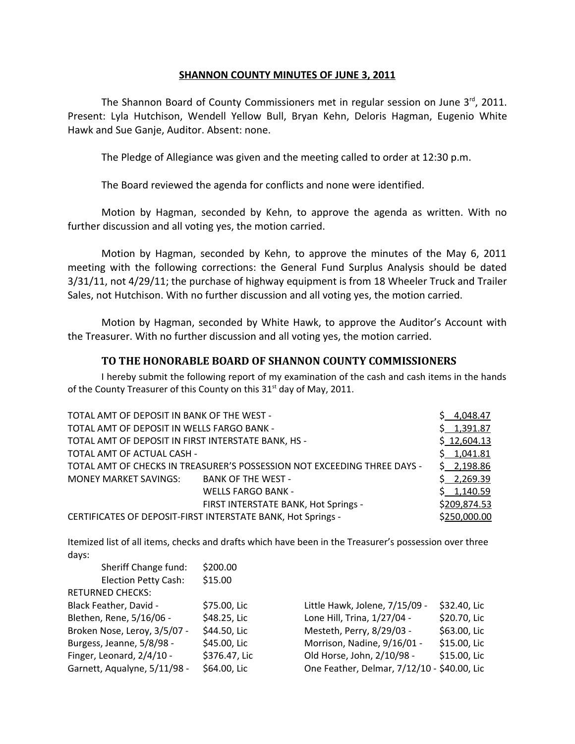## **SHANNON COUNTY MINUTES OF JUNE 3, 2011**

The Shannon Board of County Commissioners met in regular session on June  $3<sup>rd</sup>$ , 2011. Present: Lyla Hutchison, Wendell Yellow Bull, Bryan Kehn, Deloris Hagman, Eugenio White Hawk and Sue Ganje, Auditor. Absent: none.

The Pledge of Allegiance was given and the meeting called to order at 12:30 p.m.

The Board reviewed the agenda for conflicts and none were identified.

Motion by Hagman, seconded by Kehn, to approve the agenda as written. With no further discussion and all voting yes, the motion carried.

Motion by Hagman, seconded by Kehn, to approve the minutes of the May 6, 2011 meeting with the following corrections: the General Fund Surplus Analysis should be dated 3/31/11, not 4/29/11; the purchase of highway equipment is from 18 Wheeler Truck and Trailer Sales, not Hutchison. With no further discussion and all voting yes, the motion carried.

Motion by Hagman, seconded by White Hawk, to approve the Auditor's Account with the Treasurer. With no further discussion and all voting yes, the motion carried.

## **TO THE HONORABLE BOARD OF SHANNON COUNTY COMMISSIONERS**

I hereby submit the following report of my examination of the cash and cash items in the hands of the County Treasurer of this County on this 31<sup>st</sup> day of May, 2011.

| TOTAL AMT OF DEPOSIT IN BANK OF THE WEST -                   |                                                                          | \$4,048.47   |
|--------------------------------------------------------------|--------------------------------------------------------------------------|--------------|
| TOTAL AMT OF DEPOSIT IN WELLS FARGO BANK -                   |                                                                          | \$1,391.87   |
| TOTAL AMT OF DEPOSIT IN FIRST INTERSTATE BANK, HS -          |                                                                          | \$12,604.13  |
| TOTAL AMT OF ACTUAL CASH -                                   |                                                                          | \$1,041.81   |
|                                                              | TOTAL AMT OF CHECKS IN TREASURER'S POSSESSION NOT EXCEEDING THREE DAYS - | \$2,198.86   |
| MONEY MARKET SAVINGS:                                        | BANK OF THE WEST -                                                       | \$2,269.39   |
|                                                              | <b>WELLS FARGO BANK -</b>                                                | \$1,140.59   |
|                                                              | FIRST INTERSTATE BANK, Hot Springs -                                     | \$209,874.53 |
| CERTIFICATES OF DEPOSIT-FIRST INTERSTATE BANK, Hot Springs - |                                                                          | \$250,000.00 |

Itemized list of all items, checks and drafts which have been in the Treasurer's possession over three days:

| Sheriff Change fund:         | \$200.00      |                                             |              |
|------------------------------|---------------|---------------------------------------------|--------------|
| Election Petty Cash:         | \$15.00       |                                             |              |
| <b>RETURNED CHECKS:</b>      |               |                                             |              |
| Black Feather, David -       | \$75.00, Lic  | Little Hawk, Jolene, 7/15/09 -              | \$32.40, Lic |
| Blethen, Rene, 5/16/06 -     | \$48.25, Lic  | Lone Hill, Trina, 1/27/04 -                 | \$20.70, Lic |
| Broken Nose, Leroy, 3/5/07 - | \$44.50, Lic  | Mesteth, Perry, 8/29/03 -                   | \$63.00, Lic |
| Burgess, Jeanne, 5/8/98 -    | \$45.00, Lic  | Morrison, Nadine, 9/16/01 -                 | \$15.00, Lic |
| Finger, Leonard, 2/4/10 -    | \$376.47, Lic | Old Horse, John, 2/10/98 -                  | \$15.00, Lic |
| Garnett, Aqualyne, 5/11/98 - | \$64.00, Lic  | One Feather, Delmar, 7/12/10 - \$40.00, Lic |              |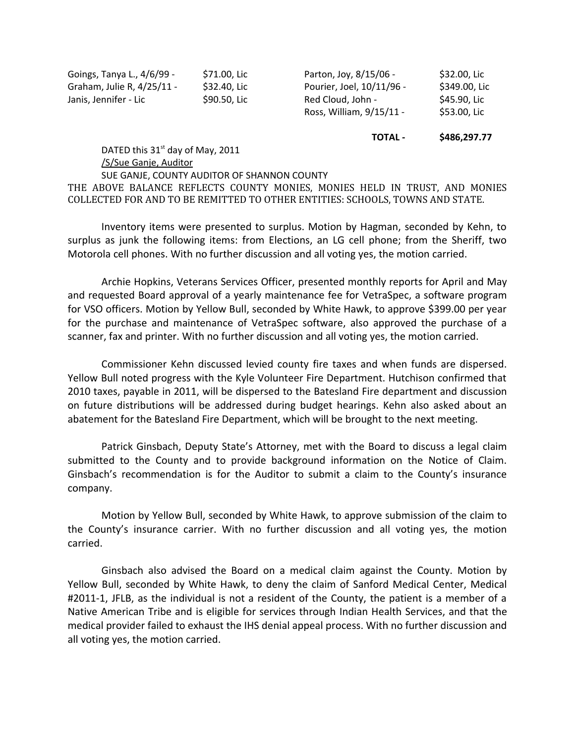| Goings, Tanya L., 4/6/99 - | \$71.00, Lic |
|----------------------------|--------------|
| Graham, Julie R, 4/25/11 - | \$32.40, Lic |
| Janis, Jennifer - Lic      | \$90.50, Lic |

Parton, Joy, 8/15/06 - \$32.00, Lic Pourier, Joel, 10/11/96 - \$349.00, Lic Red Cloud, John - \$45.90, Lic Ross, William, 9/15/11 - \$53.00, Lic

**TOTAL - \$486,297.77**

DATED this  $31<sup>st</sup>$  day of May, 2011 /S/Sue Ganje, Auditor SUE GANJE, COUNTY AUDITOR OF SHANNON COUNTY THE ABOVE BALANCE REFLECTS COUNTY MONIES, MONIES HELD IN TRUST, AND MONIES COLLECTED FOR AND TO BE REMITTED TO OTHER ENTITIES: SCHOOLS, TOWNS AND STATE.

Inventory items were presented to surplus. Motion by Hagman, seconded by Kehn, to surplus as junk the following items: from Elections, an LG cell phone; from the Sheriff, two Motorola cell phones. With no further discussion and all voting yes, the motion carried.

Archie Hopkins, Veterans Services Officer, presented monthly reports for April and May and requested Board approval of a yearly maintenance fee for VetraSpec, a software program for VSO officers. Motion by Yellow Bull, seconded by White Hawk, to approve \$399.00 per year for the purchase and maintenance of VetraSpec software, also approved the purchase of a scanner, fax and printer. With no further discussion and all voting yes, the motion carried.

Commissioner Kehn discussed levied county fire taxes and when funds are dispersed. Yellow Bull noted progress with the Kyle Volunteer Fire Department. Hutchison confirmed that 2010 taxes, payable in 2011, will be dispersed to the Batesland Fire department and discussion on future distributions will be addressed during budget hearings. Kehn also asked about an abatement for the Batesland Fire Department, which will be brought to the next meeting.

Patrick Ginsbach, Deputy State's Attorney, met with the Board to discuss a legal claim submitted to the County and to provide background information on the Notice of Claim. Ginsbach's recommendation is for the Auditor to submit a claim to the County's insurance company.

Motion by Yellow Bull, seconded by White Hawk, to approve submission of the claim to the County's insurance carrier. With no further discussion and all voting yes, the motion carried.

Ginsbach also advised the Board on a medical claim against the County. Motion by Yellow Bull, seconded by White Hawk, to deny the claim of Sanford Medical Center, Medical #2011-1, JFLB, as the individual is not a resident of the County, the patient is a member of a Native American Tribe and is eligible for services through Indian Health Services, and that the medical provider failed to exhaust the IHS denial appeal process. With no further discussion and all voting yes, the motion carried.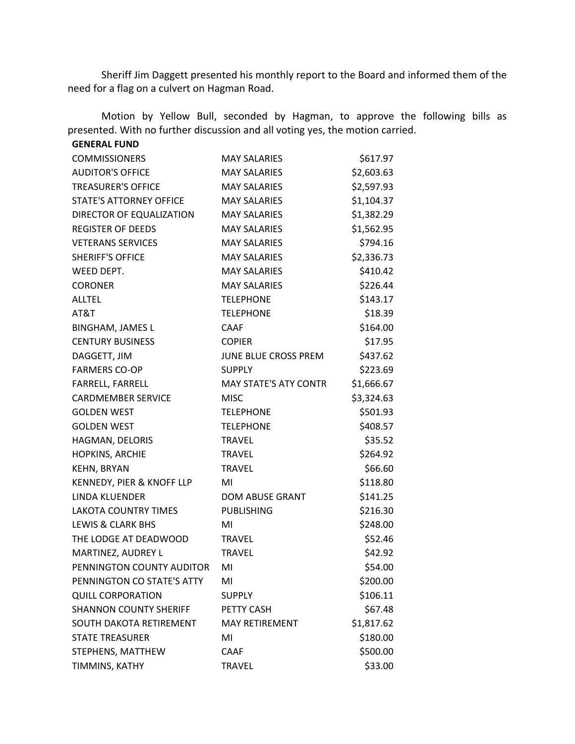Sheriff Jim Daggett presented his monthly report to the Board and informed them of the need for a flag on a culvert on Hagman Road.

Motion by Yellow Bull, seconded by Hagman, to approve the following bills as presented. With no further discussion and all voting yes, the motion carried.

| <b>GENERAL FUND</b>            |                              |            |
|--------------------------------|------------------------------|------------|
| <b>COMMISSIONERS</b>           | <b>MAY SALARIES</b>          | \$617.97   |
| <b>AUDITOR'S OFFICE</b>        | <b>MAY SALARIES</b>          | \$2,603.63 |
| <b>TREASURER'S OFFICE</b>      | <b>MAY SALARIES</b>          | \$2,597.93 |
| <b>STATE'S ATTORNEY OFFICE</b> | <b>MAY SALARIES</b>          | \$1,104.37 |
| DIRECTOR OF EQUALIZATION       | <b>MAY SALARIES</b>          | \$1,382.29 |
| <b>REGISTER OF DEEDS</b>       | <b>MAY SALARIES</b>          | \$1,562.95 |
| <b>VETERANS SERVICES</b>       | <b>MAY SALARIES</b>          | \$794.16   |
| <b>SHERIFF'S OFFICE</b>        | <b>MAY SALARIES</b>          | \$2,336.73 |
| WEED DEPT.                     | <b>MAY SALARIES</b>          | \$410.42   |
| <b>CORONER</b>                 | <b>MAY SALARIES</b>          | \$226.44   |
| <b>ALLTEL</b>                  | <b>TELEPHONE</b>             | \$143.17   |
| AT&T                           | <b>TELEPHONE</b>             | \$18.39    |
| <b>BINGHAM, JAMES L</b>        | <b>CAAF</b>                  | \$164.00   |
| <b>CENTURY BUSINESS</b>        | <b>COPIER</b>                | \$17.95    |
| DAGGETT, JIM                   | JUNE BLUE CROSS PREM         | \$437.62   |
| <b>FARMERS CO-OP</b>           | <b>SUPPLY</b>                | \$223.69   |
| FARRELL, FARRELL               | <b>MAY STATE'S ATY CONTR</b> | \$1,666.67 |
| <b>CARDMEMBER SERVICE</b>      | <b>MISC</b>                  | \$3,324.63 |
| <b>GOLDEN WEST</b>             | <b>TELEPHONE</b>             | \$501.93   |
| <b>GOLDEN WEST</b>             | <b>TELEPHONE</b>             | \$408.57   |
| HAGMAN, DELORIS                | <b>TRAVEL</b>                | \$35.52    |
| HOPKINS, ARCHIE                | <b>TRAVEL</b>                | \$264.92   |
| KEHN, BRYAN                    | <b>TRAVEL</b>                | \$66.60    |
| KENNEDY, PIER & KNOFF LLP      | MI                           | \$118.80   |
| LINDA KLUENDER                 | <b>DOM ABUSE GRANT</b>       | \$141.25   |
| <b>LAKOTA COUNTRY TIMES</b>    | <b>PUBLISHING</b>            | \$216.30   |
| <b>LEWIS &amp; CLARK BHS</b>   | MI                           | \$248.00   |
| THE LODGE AT DEADWOOD          | <b>TRAVEL</b>                | \$52.46    |
| MARTINEZ, AUDREY L             | <b>TRAVEL</b>                | \$42.92    |
| PENNINGTON COUNTY AUDITOR      | MI                           | \$54.00    |
| PENNINGTON CO STATE'S ATTY     | MI                           | \$200.00   |
| <b>QUILL CORPORATION</b>       | <b>SUPPLY</b>                | \$106.11   |
| <b>SHANNON COUNTY SHERIFF</b>  | PETTY CASH                   | \$67.48    |
| SOUTH DAKOTA RETIREMENT        | <b>MAY RETIREMENT</b>        | \$1,817.62 |
| <b>STATE TREASURER</b>         | MI                           | \$180.00   |
| STEPHENS, MATTHEW              | <b>CAAF</b>                  | \$500.00   |
| TIMMINS, KATHY                 | <b>TRAVEL</b>                | \$33.00    |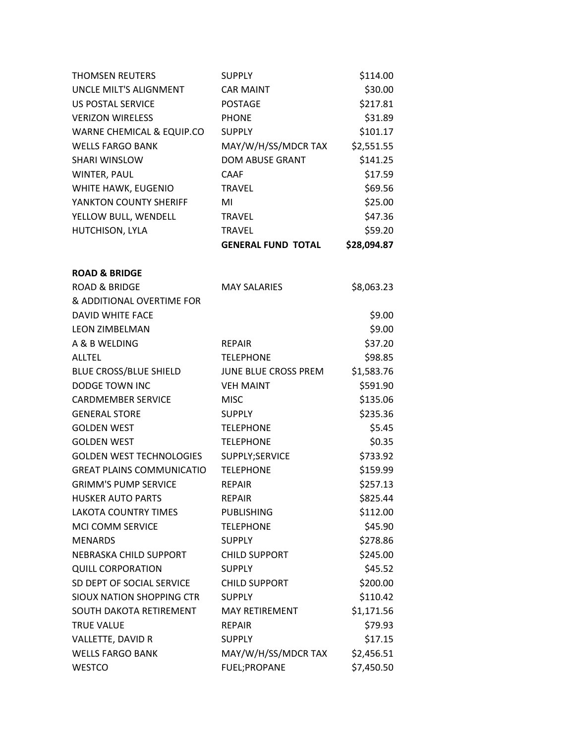| <b>THOMSEN REUTERS</b>           | <b>SUPPLY</b>             | \$114.00    |
|----------------------------------|---------------------------|-------------|
| UNCLE MILT'S ALIGNMENT           | <b>CAR MAINT</b>          | \$30.00     |
| <b>US POSTAL SERVICE</b>         | <b>POSTAGE</b>            | \$217.81    |
| <b>VERIZON WIRELESS</b>          | <b>PHONE</b>              | \$31.89     |
| WARNE CHEMICAL & EQUIP.CO        | <b>SUPPLY</b>             | \$101.17    |
| <b>WELLS FARGO BANK</b>          | MAY/W/H/SS/MDCR TAX       | \$2,551.55  |
| <b>SHARI WINSLOW</b>             | <b>DOM ABUSE GRANT</b>    | \$141.25    |
| WINTER, PAUL                     | <b>CAAF</b>               | \$17.59     |
| WHITE HAWK, EUGENIO              | <b>TRAVEL</b>             | \$69.56     |
| YANKTON COUNTY SHERIFF           | MI                        | \$25.00     |
| YELLOW BULL, WENDELL             | <b>TRAVEL</b>             | \$47.36     |
| HUTCHISON, LYLA                  | <b>TRAVEL</b>             | \$59.20     |
|                                  | <b>GENERAL FUND TOTAL</b> | \$28,094.87 |
| <b>ROAD &amp; BRIDGE</b>         |                           |             |
| <b>ROAD &amp; BRIDGE</b>         | <b>MAY SALARIES</b>       | \$8,063.23  |
| & ADDITIONAL OVERTIME FOR        |                           |             |
| DAVID WHITE FACE                 |                           | \$9.00      |
| <b>LEON ZIMBELMAN</b>            |                           | \$9.00      |
| A & B WELDING                    | <b>REPAIR</b>             | \$37.20     |
| <b>ALLTEL</b>                    | <b>TELEPHONE</b>          | \$98.85     |
| <b>BLUE CROSS/BLUE SHIELD</b>    | JUNE BLUE CROSS PREM      | \$1,583.76  |
| <b>DODGE TOWN INC</b>            | <b>VEH MAINT</b>          | \$591.90    |
| <b>CARDMEMBER SERVICE</b>        | <b>MISC</b>               | \$135.06    |
| <b>GENERAL STORE</b>             | <b>SUPPLY</b>             | \$235.36    |
| <b>GOLDEN WEST</b>               | <b>TELEPHONE</b>          | \$5.45      |
| <b>GOLDEN WEST</b>               | <b>TELEPHONE</b>          | \$0.35      |
| <b>GOLDEN WEST TECHNOLOGIES</b>  | SUPPLY;SERVICE            | \$733.92    |
| <b>GREAT PLAINS COMMUNICATIO</b> | <b>TELEPHONE</b>          | \$159.99    |
| <b>GRIMM'S PUMP SERVICE</b>      | <b>REPAIR</b>             | \$257.13    |
| <b>HUSKER AUTO PARTS</b>         | <b>REPAIR</b>             | \$825.44    |
| <b>LAKOTA COUNTRY TIMES</b>      | <b>PUBLISHING</b>         | \$112.00    |
| <b>MCI COMM SERVICE</b>          | <b>TELEPHONE</b>          | \$45.90     |
| <b>MENARDS</b>                   | <b>SUPPLY</b>             | \$278.86    |
| NEBRASKA CHILD SUPPORT           | <b>CHILD SUPPORT</b>      | \$245.00    |
| <b>QUILL CORPORATION</b>         | <b>SUPPLY</b>             | \$45.52     |
| SD DEPT OF SOCIAL SERVICE        | <b>CHILD SUPPORT</b>      | \$200.00    |
| <b>SIOUX NATION SHOPPING CTR</b> | <b>SUPPLY</b>             | \$110.42    |
| SOUTH DAKOTA RETIREMENT          | <b>MAY RETIREMENT</b>     | \$1,171.56  |
| <b>TRUE VALUE</b>                | <b>REPAIR</b>             | \$79.93     |
| VALLETTE, DAVID R                | <b>SUPPLY</b>             | \$17.15     |
| <b>WELLS FARGO BANK</b>          | MAY/W/H/SS/MDCR TAX       | \$2,456.51  |
| <b>WESTCO</b>                    | FUEL; PROPANE             | \$7,450.50  |